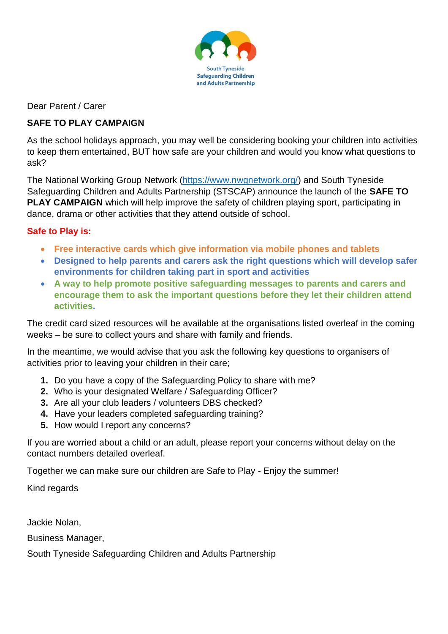

Dear Parent / Carer

# **SAFE TO PLAY CAMPAIGN**

As the school holidays approach, you may well be considering booking your children into activities to keep them entertained, BUT how safe are your children and would you know what questions to ask?

The National Working Group Network [\(https://www.nwgnetwork.org/\)](https://www.nwgnetwork.org/) and South Tyneside Safeguarding Children and Adults Partnership (STSCAP) announce the launch of the **SAFE TO PLAY CAMPAIGN** which will help improve the safety of children playing sport, participating in dance, drama or other activities that they attend outside of school.

# **Safe to Play is:**

- **Free interactive cards which give information via mobile phones and tablets**
- **Designed to help parents and carers ask the right questions which will develop safer environments for children taking part in sport and activities**
- **A way to help promote positive safeguarding messages to parents and carers and encourage them to ask the important questions before they let their children attend activities.**

The credit card sized resources will be available at the organisations listed overleaf in the coming weeks – be sure to collect yours and share with family and friends.

In the meantime, we would advise that you ask the following key questions to organisers of activities prior to leaving your children in their care;

- **1.** Do you have a copy of the Safeguarding Policy to share with me?
- **2.** Who is your designated Welfare / Safeguarding Officer?
- **3.** Are all your club leaders / volunteers DBS checked?
- **4.** Have your leaders completed safeguarding training?
- **5.** How would I report any concerns?

If you are worried about a child or an adult, please report your concerns without delay on the contact numbers detailed overleaf.

Together we can make sure our children are Safe to Play - Enjoy the summer!

Kind regards

Jackie Nolan,

Business Manager,

South Tyneside Safeguarding Children and Adults Partnership